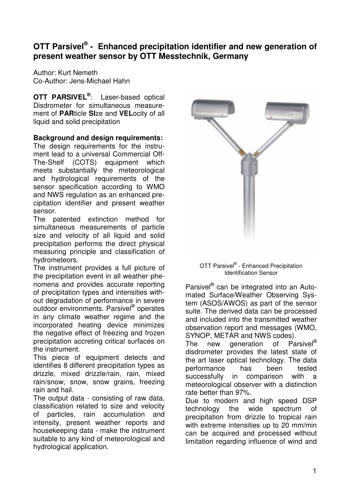# **OTT Parsivel ® - Enhanced precipitation identifier and new generation of present weather sensor by OTT Messtechnik, Germany**

Author: Kurt Nemeth Co-Author: Jens-Michael Hahn

**OTT PARSIVEL ®** : Laser-based optical Disdrometer for simultaneous measurement of **PAR**ticle **SI**ze and **VEL**ocity of all liquid and solid precipitation

**Background and design requirements:**

The design requirements for the instrument lead to a universal Commercial Off-The-Shelf (COTS) equipment which meets substantially the meteorological and hydrological requirements of the sensor specification according to WMO and NWS regulation as an enhanced precipitation identifier and present weather sensor.

The patented extinction method for simultaneous measurements of particle size and velocity of all liquid and solid precipitation performs the direct physical measuring principle and classification of hydrometeors.

The instrument provides a full picture of the precipitation event in all weather phenomena and provides accurate reporting of precipitation types and intensities without degradation of performance in severe outdoor environments. Parsivel® operates in any climate weather regime and the incorporated heating device minimizes the negative effect of freezing and frozen precipitation accreting critical surfaces on the instrument.

This piece of equipment detects and identifies 8 different precipitation types as drizzle, mixed drizzle/rain, rain, mixed rain/snow, snow, snow grains, freezing rain and hail.

The output data - consisting of raw data, classification related to size and velocity of particles, rain accumulation and intensity, present weather reports and housekeeping data - make the instrument suitable to any kind of meteorological and hydrological application.



#### OTT Parsivel® - Enhanced Precipitation Identification Sensor

Parsivel® can be integrated into an Automated Surface/Weather Observing System (ASOS/AWOS) as part of the sensor suite. The derived data can be processed and included into the transmitted weather observation report and messages (WMO, SYNOP, METAR and NWS codes).

The new generation of Parsivel<sup>®</sup> disdrometer provides the latest state of the art laser optical technology. The data performance has been tested successfully in comparison with a meteorological observer with a distinction rate better than 97%.

Due to modern and high speed DSP<br>technology the wide spectrum of technology the wide spectrum of precipitation from drizzle to tropical rain with extreme intensities up to 20 mm/min can be acquired and processed without limitation regarding influence of wind and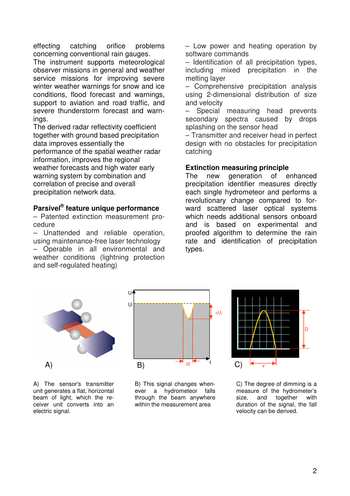effecting catching orifice problems concerning conventional rain gauges.

The instrument supports meteorological observer missions in general and weather service missions for improving severe winter weather warnings for snow and ice conditions, flood forecast and warnings, support to aviation and road traffic, and severe thunderstorm forecast and warnings.

The derived radar reflectivity coefficient together with ground based precipitation data improves essentially the performance of the spatial weather radar information, improves the regional weather forecasts and high water early warning system by combination and correlation of precise and overall precipitation network data.

### **Parsivel ® feature unique performance**

– Patented extinction measurement procedure

– Unattended and reliable operation, using maintenance-free laser technology – Operable in all environmental and

weather conditions (lightning protection and self-regulated heating)

– Low power and heating operation by software commands

– Identification of all precipitation types, including mixed precipitation in the melting layer

– Comprehensive precipitation analysis using 2-dimensional distribution of size and velocity

– Special measuring head prevents secondary spectra caused by drops splashing on the sensor head

– Transmitter and receiver head in perfect design with no obstacles for precipitation catching

### **Extinction measuring principle**

The new generation of enhanced precipitation identifier measures directly each single hydrometeor and performs a revolutionary change compared to forward scattered laser optical systems which needs additional sensors onboard and is based on experimental and proofed algorithm to determine the rain rate and identification of precipitation types.





A) The sensor's transmitter unit generates a flat, horizontal beam of light, which the receiver unit converts into an electric signal.

B) This signal changes whenever a hydrometeor falls through the beam anywhere within the measurement area



C) The degree of dimming is a measure of the hydrometer's size, and together with duration of the signal, the fall velocity can be derived.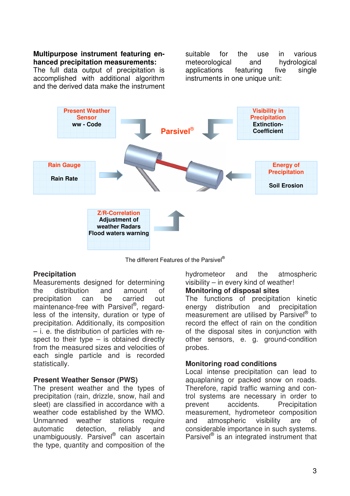### **Multipurpose instrument featuring enhanced precipitation measurements:**

The full data output of precipitation is accomplished with additional algorithm and the derived data make the instrument

suitable for the use in various meteorological and hydrological applications featuring five single instruments in one unique unit:



The different Features of the Parsivel ®

### **Precipitation**

Measurements designed for determining the distribution and amount of precipitation can be carried out maintenance-free with Parsivel®, regardless of the intensity, duration or type of precipitation. Additionally, its composition – i. e. the distribution of particles with respect to their type  $-$  is obtained directly from the measured sizes and velocities of each single particle and is recorded statistically.

### **Present Weather Sensor (PWS)**

The present weather and the types of precipitation (rain, drizzle, snow, hail and sleet) are classified in accordance with a weather code established by the WMO. Unmanned weather stations require automatic detection, reliably and unambiguously. Parsivel® can ascertain the type, quantity and composition of the

hydrometeor and the atmospheric visibility – in every kind of weather!

### **Monitoring of disposal sites**

The functions of precipitation kinetic energy distribution and precipitation measurement are utilised by Parsivel® to record the effect of rain on the condition of the disposal sites in conjunction with other sensors, e. g. ground-condition probes.

#### **Monitoring road conditions**

Local intense precipitation can lead to aquaplaning or packed snow on roads. Therefore, rapid traffic warning and control systems are necessary in order to prevent accidents. Precipitation measurement, hydrometeor composition and atmospheric visibility are of considerable importance in such systems. Parsivel<sup>®</sup> is an integrated instrument that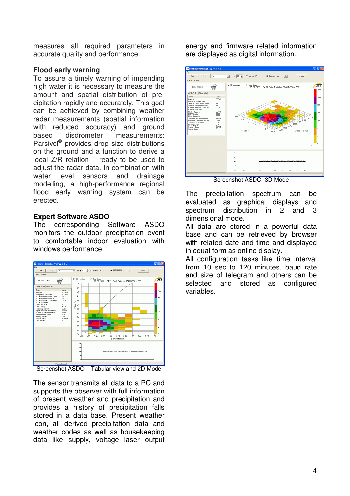measures all required parameters in accurate quality and performance.

### **Flood early warning**

To assure a timely warning of impending high water it is necessary to measure the amount and spatial distribution of precipitation rapidly and accurately. This goal can be achieved by combining weather radar measurements (spatial information with reduced accuracy) and ground based disdrometer measurements: Parsivel<sup>®</sup> provides drop size distributions on the ground and a function to derive a local Z/R relation – ready to be used to adjust the radar data. In combination with water level sensors and drainage modelling, a high-performance regional flood early warning system can be erected.

### **Expert Software ASDO**

The corresponding Software ASDO monitors the outdoor precipitation event to comfortable indoor evaluation with windows performance.



Screenshot ASDO – Tabular view and 2D Mode

The sensor transmits all data to a PC and supports the observer with full information of present weather and precipitation and provides a history of precipitation falls stored in a data base. Present weather icon, all derived precipitation data and weather codes as well as housekeeping data like supply, voltage laser output energy and firmware related information are displayed as digital information.



Screenshot ASDO- 3D Mode

The precipitation spectrum can be evaluated as graphical displays and spectrum distribution in 2 and 3 dimensional mode.

All data are stored in a powerful data base and can be retrieved by browser with related date and time and displayed in equal form as online display.

All configuration tasks like time interval from 10 sec to 120 minutes, baud rate and size of telegram and others can be selected and stored as configured variables.